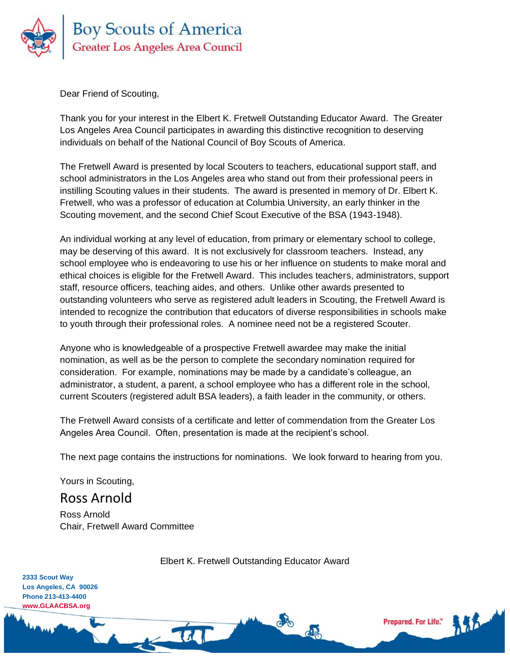

Dear Friend of Scouting,

Thank you for your interest in the Elbert K. Fretwell Outstanding Educator Award. The Greater Los Angeles Area Council participates in awarding this distinctive recognition to deserving individuals on behalf of the National Council of Boy Scouts of America.

The Fretwell Award is presented by local Scouters to teachers, educational support staff, and school administrators in the Los Angeles area who stand out from their professional peers in instilling Scouting values in their students. The award is presented in memory of Dr. Elbert K. Fretwell, who was a professor of education at Columbia University, an early thinker in the Scouting movement, and the second Chief Scout Executive of the BSA (1943-1948).

An individual working at any level of education, from primary or elementary school to college, may be deserving of this award. It is not exclusively for classroom teachers. Instead, any school employee who is endeavoring to use his or her influence on students to make moral and ethical choices is eligible for the Fretwell Award. This includes teachers, administrators, support staff, resource officers, teaching aides, and others. Unlike other awards presented to outstanding volunteers who serve as registered adult leaders in Scouting, the Fretwell Award is intended to recognize the contribution that educators of diverse responsibilities in schools make to youth through their professional roles. A nominee need not be a registered Scouter.

Anyone who is knowledgeable of a prospective Fretwell awardee may make the initial nomination, as well as be the person to complete the secondary nomination required for consideration. For example, nominations may be made by a candidate's colleague, an administrator, a student, a parent, a school employee who has a different role in the school, current Scouters (registered adult BSA leaders), a faith leader in the community, or others.

The Fretwell Award consists of a certificate and letter of commendation from the Greater Los Angeles Area Council. Often, presentation is made at the recipient's school.

The next page contains the instructions for nominations. We look forward to hearing from you.

Yours in Scouting,

Ross Arnold

Ross Arnold Chair, Fretwell Award Committee

 $-14$ 

Elbert K. Fretwell Outstanding Educator Award

**Prepared, For Life."** 

**2333 Scout Way Los Angeles, CA 90026 Phone 213-413-4400 www.GLAACBSA.org**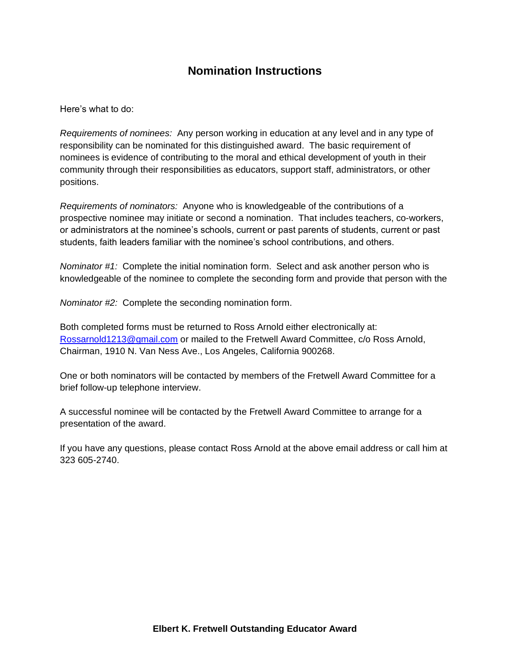# **Nomination Instructions**

Here's what to do:

*Requirements of nominees:* Any person working in education at any level and in any type of responsibility can be nominated for this distinguished award. The basic requirement of nominees is evidence of contributing to the moral and ethical development of youth in their community through their responsibilities as educators, support staff, administrators, or other positions.

*Requirements of nominators:* Anyone who is knowledgeable of the contributions of a prospective nominee may initiate or second a nomination. That includes teachers, co-workers, or administrators at the nominee's schools, current or past parents of students, current or past students, faith leaders familiar with the nominee's school contributions, and others.

*Nominator #1:* Complete the initial nomination form. Select and ask another person who is knowledgeable of the nominee to complete the seconding form and provide that person with the

*Nominator #2:* Complete the seconding nomination form.

Both completed forms must be returned to Ross Arnold either electronically at: [Rossarnold1213@gmail.com](mailto:Rossarnold1213@gmail.com) or mailed to the Fretwell Award Committee, c/o Ross Arnold, Chairman, 1910 N. Van Ness Ave., Los Angeles, California 900268.

One or both nominators will be contacted by members of the Fretwell Award Committee for a brief follow-up telephone interview.

A successful nominee will be contacted by the Fretwell Award Committee to arrange for a presentation of the award.

If you have any questions, please contact Ross Arnold at the above email address or call him at 323 605-2740.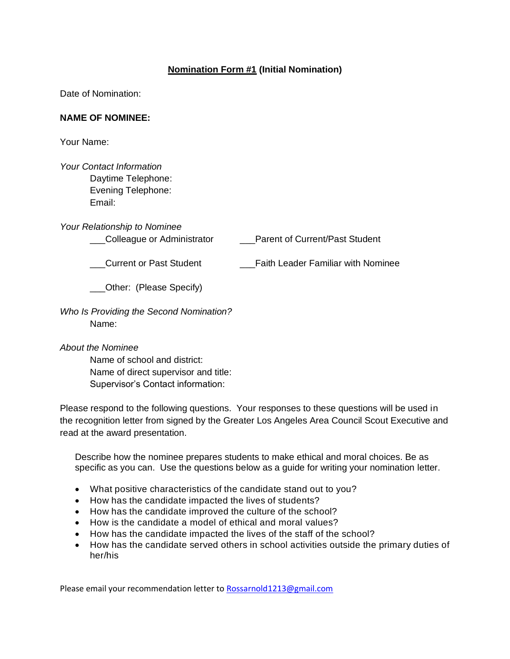### **Nomination Form #1 (Initial Nomination)**

Date of Nomination:

#### **NAME OF NOMINEE:**

Your Name:

*Your Contact Information* Daytime Telephone: Evening Telephone: Email:

*Your Relationship to Nominee*

\_\_\_Colleague or Administrator \_\_\_Parent of Current/Past Student

\_\_\_Current or Past Student \_\_\_Faith Leader Familiar with Nominee

\_\_\_Other: (Please Specify)

*Who Is Providing the Second Nomination?* Name:

*About the Nominee*

Name of school and district: Name of direct supervisor and title: Supervisor's Contact information:

Please respond to the following questions. Your responses to these questions will be used in the recognition letter from signed by the Greater Los Angeles Area Council Scout Executive and read at the award presentation.

Describe how the nominee prepares students to make ethical and moral choices. Be as specific as you can. Use the questions below as a guide for writing your nomination letter.

- What positive characteristics of the candidate stand out to you?
- How has the candidate impacted the lives of students?
- How has the candidate improved the culture of the school?
- How is the candidate a model of ethical and moral values?
- How has the candidate impacted the lives of the staff of the school?
- How has the candidate served others in school activities outside the primary duties of her/his

Please email your recommendation letter to [Rossarnold1213@gmail.com](mailto:Rossarnold1213@gmail.com)